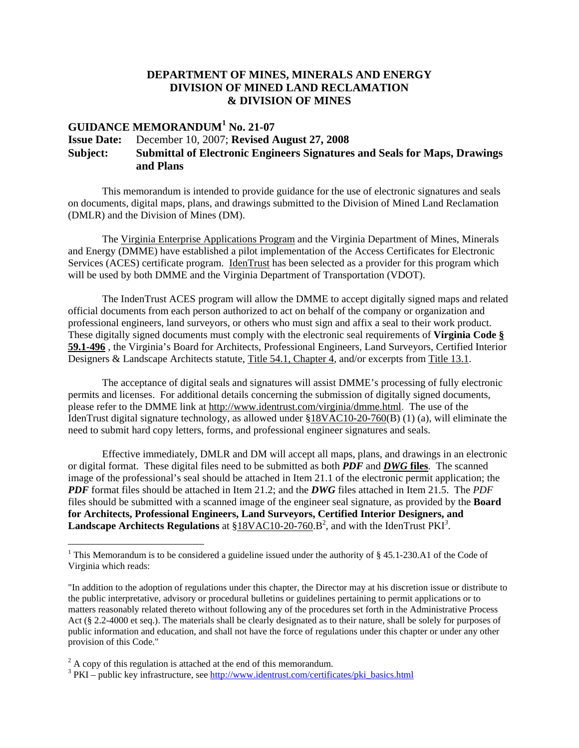### **DEPARTMENT OF MINES, MINERALS AND ENERGY DIVISION OF MINED LAND RECLAMATION & DIVISION OF MINES**

# **GUIDANCE MEMORANDUM<sup>1</sup> No. 21-07**

## **Issue Date:** December 10, 2007; **Revised August 27, 2008 Subject: Submittal of Electronic Engineers Signatures and Seals for Maps, Drawings and Plans**

This memorandum is intended to provide guidance for the use of electronic signatures and seals on documents, digital maps, plans, and drawings submitted to the Division of Mined Land Reclamation (DMLR) and the Division of Mines (DM).

The Virginia Enterprise Applications Program and the Virginia Department of Mines, Minerals and Energy (DMME) have established a pilot implementation of the Access Certificates for Electronic Services (ACES) certificate program. IdenTrust has been selected as a provider for this program which will be used by both DMME and the Virginia Department of Transportation (VDOT).

The IndenTrust ACES program will allow the DMME to accept digitally signed maps and related official documents from each person authorized to act on behalf of the company or organization and professional engineers, land surveyors, or others who must sign and affix a seal to their work product. These digitally signed documents must comply with the electronic seal requirements of **Virginia Code § 59.1-496** , the Virginia's Board for Architects, Professional Engineers, Land Surveyors, Certified Interior Designers & Landscape Architects statute, Title 54.1, Chapter 4, and/or excerpts from Title 13.1.

The acceptance of digital seals and signatures will assist DMME's processing of fully electronic permits and licenses. For additional details concerning the submission of digitally signed documents, please refer to the DMME link at http://www.identrust.com/virginia/dmme.html. The use of the IdenTrust digital signature technology, as allowed under §18VAC10-20-760(B) (1) (a), will eliminate the need to submit hard copy letters, forms, and professional engineer signatures and seals.

Effective immediately, DMLR and DM will accept all maps, plans, and drawings in an electronic or digital format. These digital files need to be submitted as both *PDF* and *DWG* **files**. The scanned image of the professional's seal should be attached in Item 21.1 of the electronic permit application; the *PDF* format files should be attached in Item 21.2; and the *DWG* files attached in Item 21.5. The *PDF* files should be submitted with a scanned image of the engineer seal signature, as provided by the **Board for Architects, Professional Engineers, Land Surveyors, Certified Interior Designers, and Landscape Architects Regulations** at  $§18VAC10-20-760$ . B<sup>2</sup>, and with the IdenTrust PKI<sup>3</sup>.

 $\overline{a}$ 

<sup>&</sup>lt;sup>1</sup> This Memorandum is to be considered a guideline issued under the authority of  $\S$  45.1-230.A1 of the Code of Virginia which reads:

<sup>&</sup>quot;In addition to the adoption of regulations under this chapter, the Director may at his discretion issue or distribute to the public interpretative, advisory or procedural bulletins or guidelines pertaining to permit applications or to matters reasonably related thereto without following any of the procedures set forth in the Administrative Process Act (§ 2.2-4000 et seq.). The materials shall be clearly designated as to their nature, shall be solely for purposes of public information and education, and shall not have the force of regulations under this chapter or under any other provision of this Code."

<sup>&</sup>lt;sup>2</sup> A copy of this regulation is attached at the end of this memorandum.

<sup>&</sup>lt;sup>3</sup> PKI – public key infrastructure, see http://www.identrust.com/certificates/pki\_basics.html